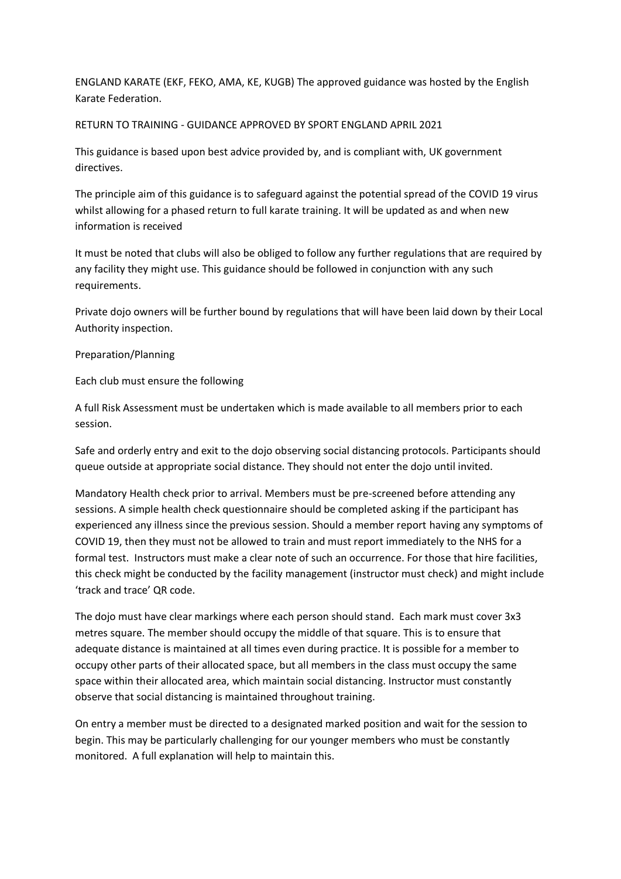ENGLAND KARATE (EKF, FEKO, AMA, KE, KUGB) The approved guidance was hosted by the English Karate Federation.

RETURN TO TRAINING - GUIDANCE APPROVED BY SPORT ENGLAND APRIL 2021

This guidance is based upon best advice provided by, and is compliant with, UK government directives.

The principle aim of this guidance is to safeguard against the potential spread of the COVID 19 virus whilst allowing for a phased return to full karate training. It will be updated as and when new information is received

It must be noted that clubs will also be obliged to follow any further regulations that are required by any facility they might use. This guidance should be followed in conjunction with any such requirements.

Private dojo owners will be further bound by regulations that will have been laid down by their Local Authority inspection.

### Preparation/Planning

Each club must ensure the following

A full Risk Assessment must be undertaken which is made available to all members prior to each session.

Safe and orderly entry and exit to the dojo observing social distancing protocols. Participants should queue outside at appropriate social distance. They should not enter the dojo until invited.

Mandatory Health check prior to arrival. Members must be pre-screened before attending any sessions. A simple health check questionnaire should be completed asking if the participant has experienced any illness since the previous session. Should a member report having any symptoms of COVID 19, then they must not be allowed to train and must report immediately to the NHS for a formal test. Instructors must make a clear note of such an occurrence. For those that hire facilities, this check might be conducted by the facility management (instructor must check) and might include 'track and trace' QR code.

The dojo must have clear markings where each person should stand. Each mark must cover 3x3 metres square. The member should occupy the middle of that square. This is to ensure that adequate distance is maintained at all times even during practice. It is possible for a member to occupy other parts of their allocated space, but all members in the class must occupy the same space within their allocated area, which maintain social distancing. Instructor must constantly observe that social distancing is maintained throughout training.

On entry a member must be directed to a designated marked position and wait for the session to begin. This may be particularly challenging for our younger members who must be constantly monitored. A full explanation will help to maintain this.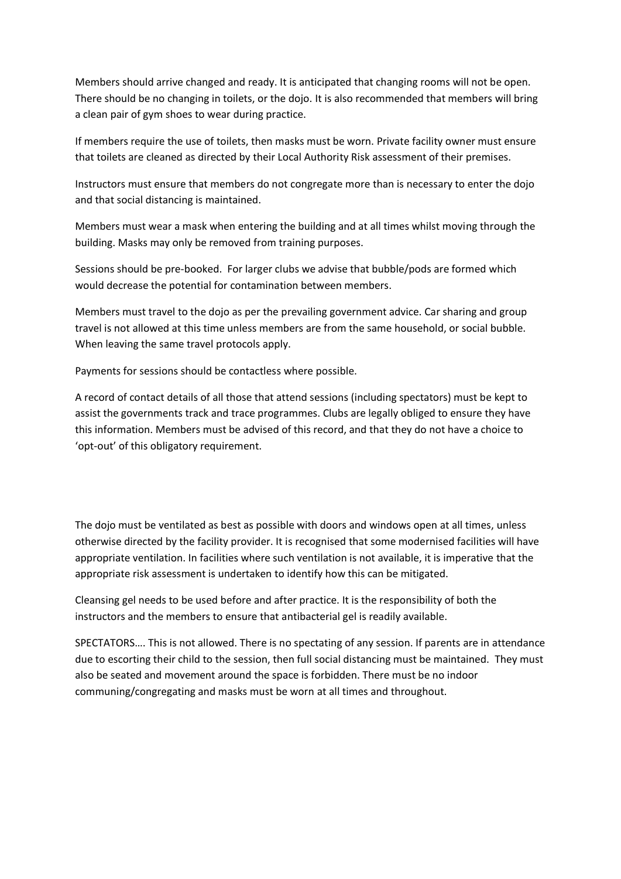Members should arrive changed and ready. It is anticipated that changing rooms will not be open. There should be no changing in toilets, or the dojo. It is also recommended that members will bring a clean pair of gym shoes to wear during practice.

If members require the use of toilets, then masks must be worn. Private facility owner must ensure that toilets are cleaned as directed by their Local Authority Risk assessment of their premises.

Instructors must ensure that members do not congregate more than is necessary to enter the dojo and that social distancing is maintained.

Members must wear a mask when entering the building and at all times whilst moving through the building. Masks may only be removed from training purposes.

Sessions should be pre-booked. For larger clubs we advise that bubble/pods are formed which would decrease the potential for contamination between members.

Members must travel to the dojo as per the prevailing government advice. Car sharing and group travel is not allowed at this time unless members are from the same household, or social bubble. When leaving the same travel protocols apply.

Payments for sessions should be contactless where possible.

A record of contact details of all those that attend sessions (including spectators) must be kept to assist the governments track and trace programmes. Clubs are legally obliged to ensure they have this information. Members must be advised of this record, and that they do not have a choice to 'opt-out' of this obligatory requirement.

The dojo must be ventilated as best as possible with doors and windows open at all times, unless otherwise directed by the facility provider. It is recognised that some modernised facilities will have appropriate ventilation. In facilities where such ventilation is not available, it is imperative that the appropriate risk assessment is undertaken to identify how this can be mitigated.

Cleansing gel needs to be used before and after practice. It is the responsibility of both the instructors and the members to ensure that antibacterial gel is readily available.

SPECTATORS…. This is not allowed. There is no spectating of any session. If parents are in attendance due to escorting their child to the session, then full social distancing must be maintained. They must also be seated and movement around the space is forbidden. There must be no indoor communing/congregating and masks must be worn at all times and throughout.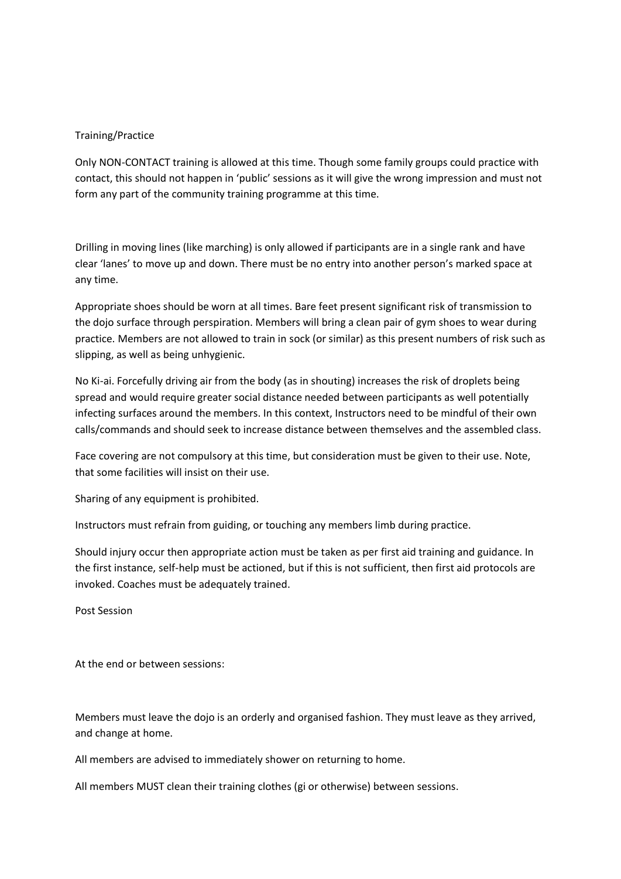# Training/Practice

Only NON-CONTACT training is allowed at this time. Though some family groups could practice with contact, this should not happen in 'public' sessions as it will give the wrong impression and must not form any part of the community training programme at this time.

Drilling in moving lines (like marching) is only allowed if participants are in a single rank and have clear 'lanes' to move up and down. There must be no entry into another person's marked space at any time.

Appropriate shoes should be worn at all times. Bare feet present significant risk of transmission to the dojo surface through perspiration. Members will bring a clean pair of gym shoes to wear during practice. Members are not allowed to train in sock (or similar) as this present numbers of risk such as slipping, as well as being unhygienic.

No Ki-ai. Forcefully driving air from the body (as in shouting) increases the risk of droplets being spread and would require greater social distance needed between participants as well potentially infecting surfaces around the members. In this context, Instructors need to be mindful of their own calls/commands and should seek to increase distance between themselves and the assembled class.

Face covering are not compulsory at this time, but consideration must be given to their use. Note, that some facilities will insist on their use.

Sharing of any equipment is prohibited.

Instructors must refrain from guiding, or touching any members limb during practice.

Should injury occur then appropriate action must be taken as per first aid training and guidance. In the first instance, self-help must be actioned, but if this is not sufficient, then first aid protocols are invoked. Coaches must be adequately trained.

Post Session

At the end or between sessions:

Members must leave the dojo is an orderly and organised fashion. They must leave as they arrived, and change at home.

All members are advised to immediately shower on returning to home.

All members MUST clean their training clothes (gi or otherwise) between sessions.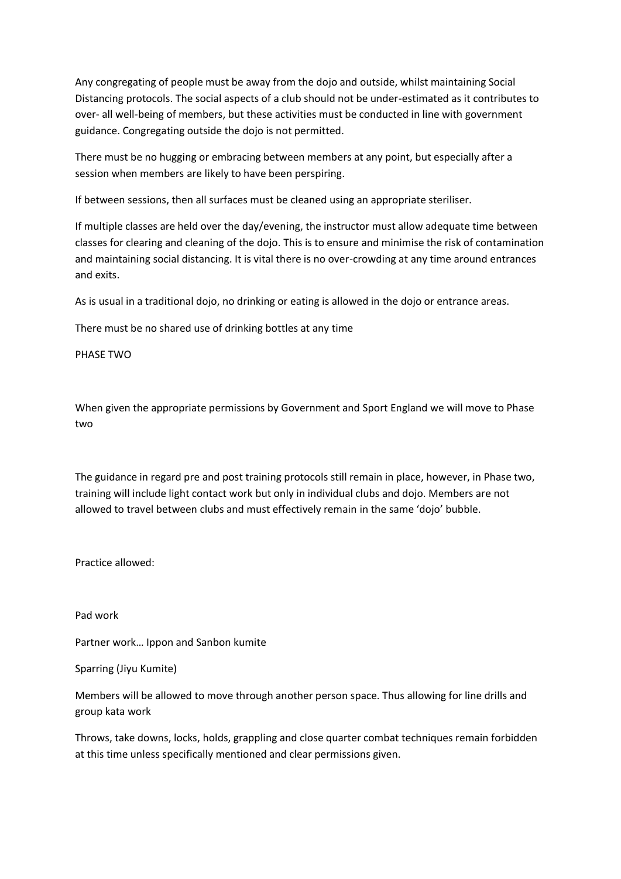Any congregating of people must be away from the dojo and outside, whilst maintaining Social Distancing protocols. The social aspects of a club should not be under-estimated as it contributes to over- all well-being of members, but these activities must be conducted in line with government guidance. Congregating outside the dojo is not permitted.

There must be no hugging or embracing between members at any point, but especially after a session when members are likely to have been perspiring.

If between sessions, then all surfaces must be cleaned using an appropriate steriliser.

If multiple classes are held over the day/evening, the instructor must allow adequate time between classes for clearing and cleaning of the dojo. This is to ensure and minimise the risk of contamination and maintaining social distancing. It is vital there is no over-crowding at any time around entrances and exits.

As is usual in a traditional dojo, no drinking or eating is allowed in the dojo or entrance areas.

There must be no shared use of drinking bottles at any time

PHASE TWO

When given the appropriate permissions by Government and Sport England we will move to Phase two

The guidance in regard pre and post training protocols still remain in place, however, in Phase two, training will include light contact work but only in individual clubs and dojo. Members are not allowed to travel between clubs and must effectively remain in the same 'dojo' bubble.

Practice allowed:

Pad work

Partner work… Ippon and Sanbon kumite

Sparring (Jiyu Kumite)

Members will be allowed to move through another person space. Thus allowing for line drills and group kata work

Throws, take downs, locks, holds, grappling and close quarter combat techniques remain forbidden at this time unless specifically mentioned and clear permissions given.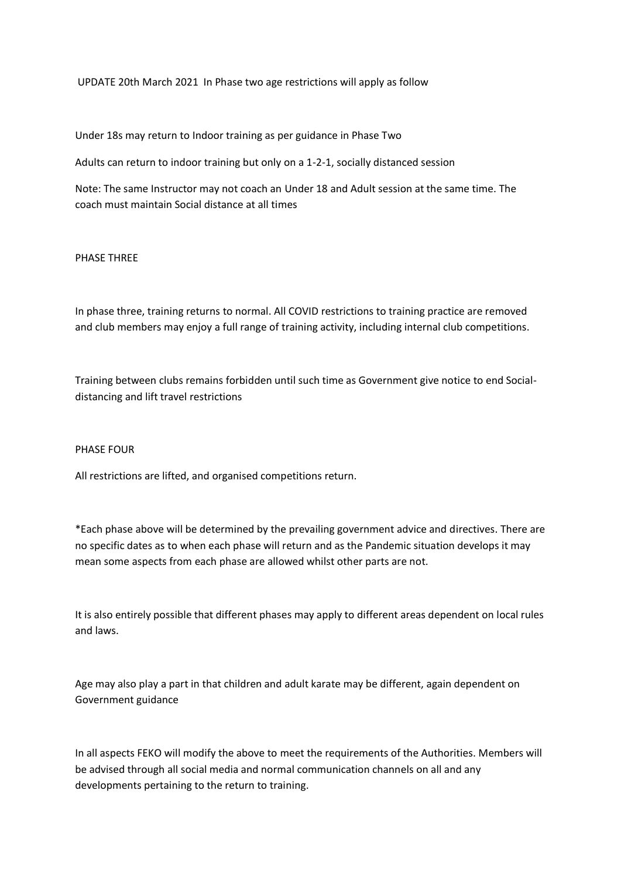## UPDATE 20th March 2021 In Phase two age restrictions will apply as follow

Under 18s may return to Indoor training as per guidance in Phase Two

Adults can return to indoor training but only on a 1-2-1, socially distanced session

Note: The same Instructor may not coach an Under 18 and Adult session at the same time. The coach must maintain Social distance at all times

### PHASE THREE

In phase three, training returns to normal. All COVID restrictions to training practice are removed and club members may enjoy a full range of training activity, including internal club competitions.

Training between clubs remains forbidden until such time as Government give notice to end Socialdistancing and lift travel restrictions

### PHASE FOUR

All restrictions are lifted, and organised competitions return.

\*Each phase above will be determined by the prevailing government advice and directives. There are no specific dates as to when each phase will return and as the Pandemic situation develops it may mean some aspects from each phase are allowed whilst other parts are not.

It is also entirely possible that different phases may apply to different areas dependent on local rules and laws.

Age may also play a part in that children and adult karate may be different, again dependent on Government guidance

In all aspects FEKO will modify the above to meet the requirements of the Authorities. Members will be advised through all social media and normal communication channels on all and any developments pertaining to the return to training.